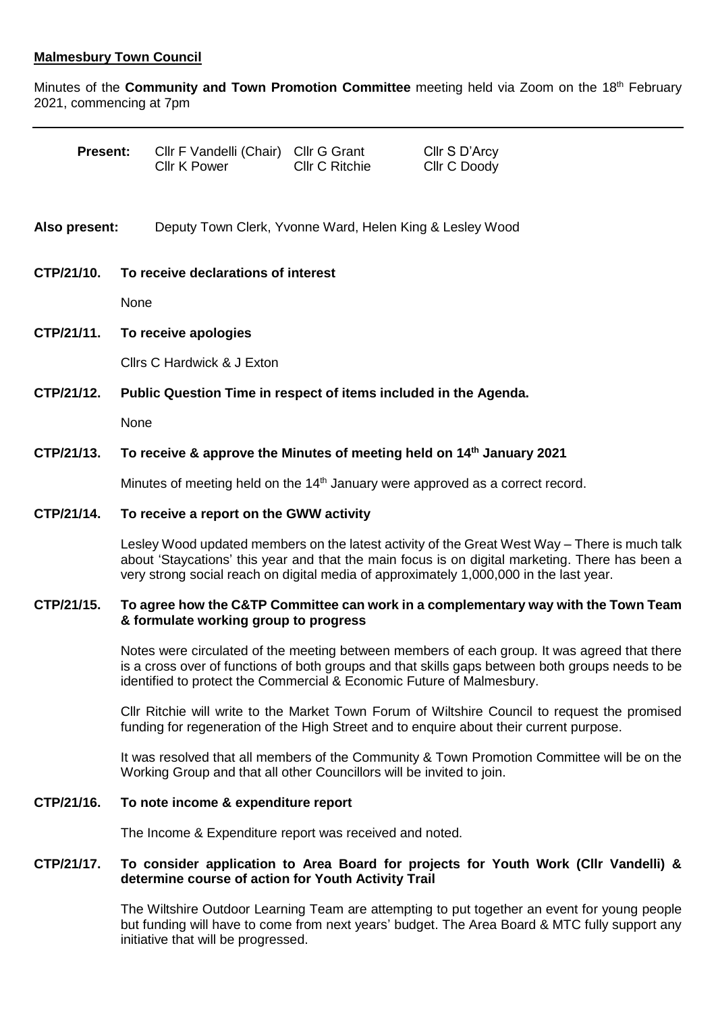## **Malmesbury Town Council**

Minutes of the **Community and Town Promotion Committee** meeting held via Zoom on the 18th February 2021, commencing at 7pm

| <b>Present:</b> |                                                                                            | CIIr F Vandelli (Chair) CIIr G Grant<br>Cllr K Power     | CIIr C Ritchie | Cllr S D'Arcy<br>Cllr C Doody |  |
|-----------------|--------------------------------------------------------------------------------------------|----------------------------------------------------------|----------------|-------------------------------|--|
| Also present:   |                                                                                            | Deputy Town Clerk, Yvonne Ward, Helen King & Lesley Wood |                |                               |  |
| CTP/21/10.      | To receive declarations of interest                                                        |                                                          |                |                               |  |
|                 |                                                                                            | None                                                     |                |                               |  |
| CTP/21/11.      | To receive apologies                                                                       |                                                          |                |                               |  |
|                 | Cllrs C Hardwick & J Exton                                                                 |                                                          |                |                               |  |
| CTP/21/12.      | Public Question Time in respect of items included in the Agenda.                           |                                                          |                |                               |  |
|                 | None                                                                                       |                                                          |                |                               |  |
| CTP/21/13.      | To receive & approve the Minutes of meeting held on 14 <sup>th</sup> January 2021          |                                                          |                |                               |  |
|                 | Minutes of meeting held on the 14 <sup>th</sup> January were approved as a correct record. |                                                          |                |                               |  |

#### **CTP/21/14. To receive a report on the GWW activity**

Lesley Wood updated members on the latest activity of the Great West Way – There is much talk about 'Staycations' this year and that the main focus is on digital marketing. There has been a very strong social reach on digital media of approximately 1,000,000 in the last year.

## **CTP/21/15. To agree how the C&TP Committee can work in a complementary way with the Town Team & formulate working group to progress**

Notes were circulated of the meeting between members of each group. It was agreed that there is a cross over of functions of both groups and that skills gaps between both groups needs to be identified to protect the Commercial & Economic Future of Malmesbury.

Cllr Ritchie will write to the Market Town Forum of Wiltshire Council to request the promised funding for regeneration of the High Street and to enquire about their current purpose.

It was resolved that all members of the Community & Town Promotion Committee will be on the Working Group and that all other Councillors will be invited to join.

### **CTP/21/16. To note income & expenditure report**

The Income & Expenditure report was received and noted.

#### **CTP/21/17. To consider application to Area Board for projects for Youth Work (Cllr Vandelli) & determine course of action for Youth Activity Trail**

The Wiltshire Outdoor Learning Team are attempting to put together an event for young people but funding will have to come from next years' budget. The Area Board & MTC fully support any initiative that will be progressed.